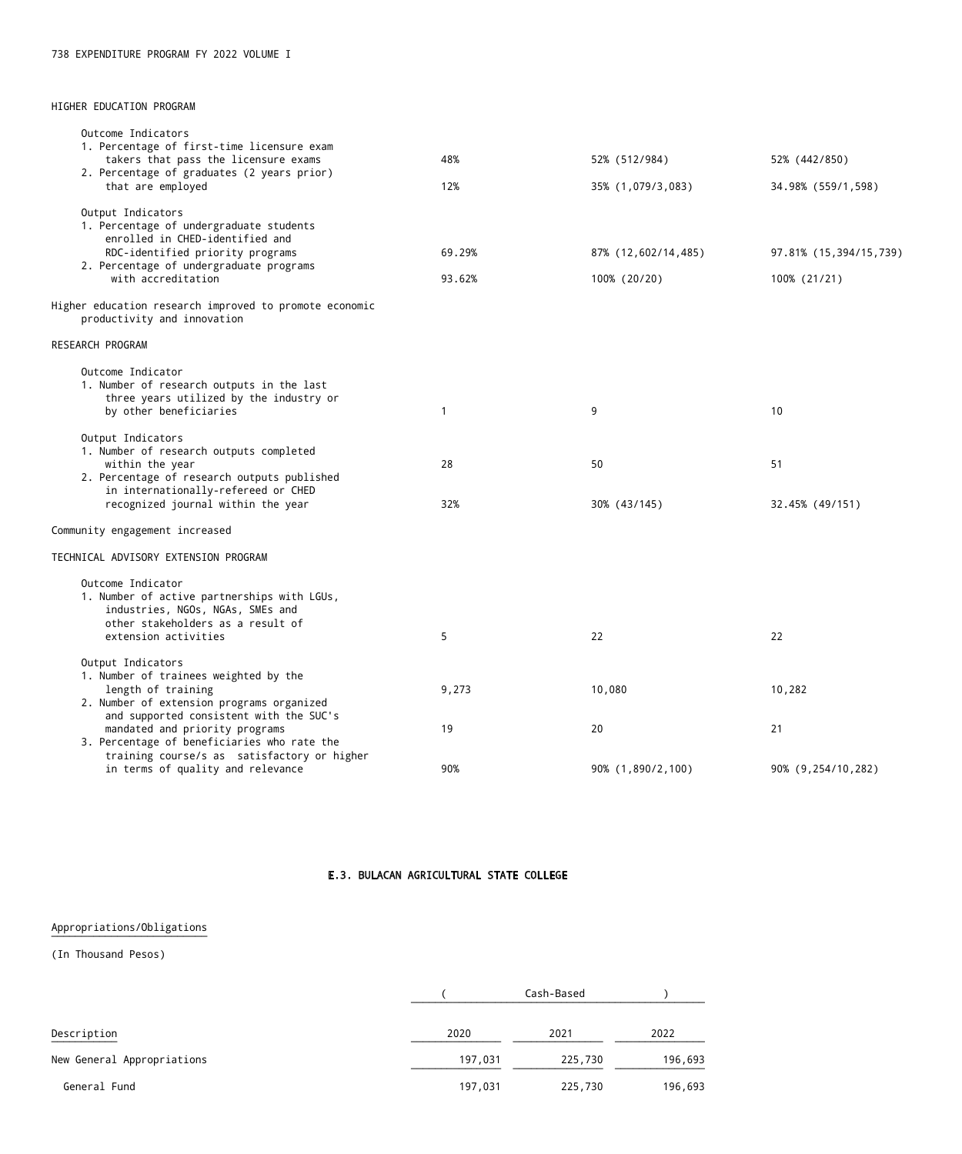### E.3. BULACAN AGRICULTURAL STATE COLLEGE

Appropriations/Obligations

(In Thousand Pesos)

|                            |         | Cash-Based |         |
|----------------------------|---------|------------|---------|
| Description                | 2020    | 2021       | 2022    |
| New General Appropriations | 197,031 | 225,730    | 196,693 |
| General Fund               | 197,031 | 225,730    | 196,693 |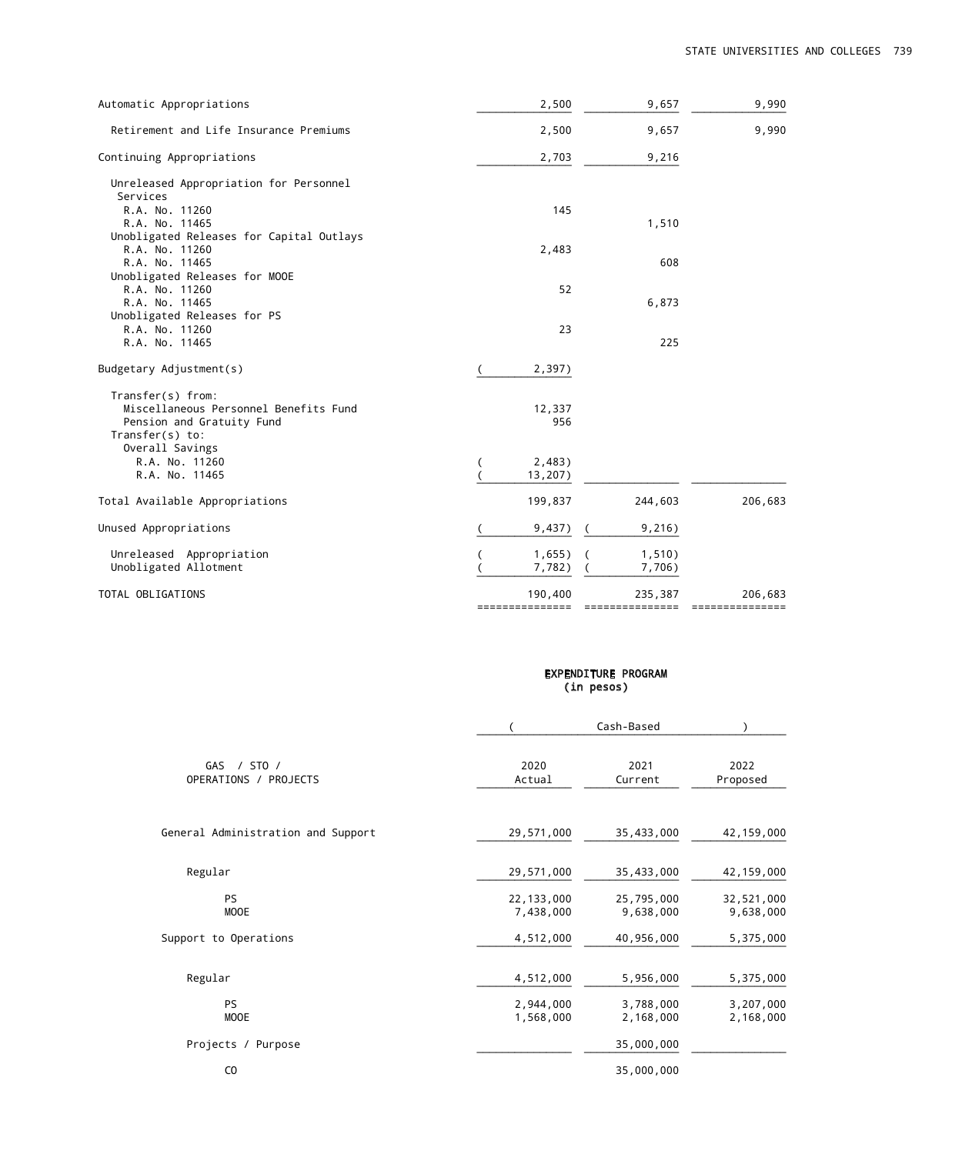| Automatic Appropriations                 | 2,500           | 9,657           | 9,990           |
|------------------------------------------|-----------------|-----------------|-----------------|
| Retirement and Life Insurance Premiums   | 2,500           | 9,657           | 9,990           |
| Continuing Appropriations                | 2,703           | 9,216           |                 |
| Unreleased Appropriation for Personnel   |                 |                 |                 |
| Services<br>R.A. No. 11260               | 145             |                 |                 |
| R.A. No. 11465                           |                 | 1,510           |                 |
| Unobligated Releases for Capital Outlays |                 |                 |                 |
| R.A. No. 11260                           | 2,483           |                 |                 |
| R.A. No. 11465                           |                 | 608             |                 |
| Unobligated Releases for MOOE            |                 |                 |                 |
| R.A. No. 11260                           | 52              |                 |                 |
| R.A. No. 11465                           |                 | 6,873           |                 |
| Unobligated Releases for PS              |                 |                 |                 |
| R.A. No. 11260                           | 23              |                 |                 |
| R.A. No. 11465                           |                 | 225             |                 |
| Budgetary Adjustment(s)                  | 2,397)          |                 |                 |
| Transfer(s) from:                        |                 |                 |                 |
| Miscellaneous Personnel Benefits Fund    | 12,337          |                 |                 |
| Pension and Gratuity Fund                | 956             |                 |                 |
| Transfer $(s)$ to:                       |                 |                 |                 |
| Overall Savings                          |                 |                 |                 |
| R.A. No. 11260                           | 2,483)          |                 |                 |
| R.A. No. 11465                           | 13,207)         |                 |                 |
| Total Available Appropriations           | 199,837         | 244,603         | 206,683         |
| Unused Appropriations                    | 9,437)          | 9,216)          |                 |
| Unreleased Appropriation                 | 1,655)          | 1,510)          |                 |
| Unobligated Allotment                    | 7,782)          | 7,706)          |                 |
| TOTAL OBLIGATIONS                        | 190,400         | 235,387         | 206,683         |
|                                          | =============== | =============== | =============== |

|            | <b>EXPENDITURE PROGRAM</b> |
|------------|----------------------------|
| (in pesos) |                            |

|                                      |                           | Cash-Based              |                         |
|--------------------------------------|---------------------------|-------------------------|-------------------------|
| GAS / STO /<br>OPERATIONS / PROJECTS | 2020<br>Actual            | 2021<br>Current         | 2022<br>Proposed        |
| General Administration and Support   | 29,571,000                | 35,433,000              | 42,159,000              |
| Regular                              | 29,571,000                | 35,433,000              | 42,159,000              |
| PS<br>MOOE                           | 22, 133, 000<br>7,438,000 | 25,795,000<br>9,638,000 | 32,521,000<br>9,638,000 |
| Support to Operations                | 4,512,000                 | 40,956,000              | 5,375,000               |
| Regular                              | 4,512,000                 | 5,956,000               | 5,375,000               |
| PS<br><b>MOOE</b>                    | 2,944,000<br>1,568,000    | 3,788,000<br>2,168,000  | 3,207,000<br>2,168,000  |
| Projects / Purpose                   |                           | 35,000,000              |                         |
| C <sub>0</sub>                       |                           | 35,000,000              |                         |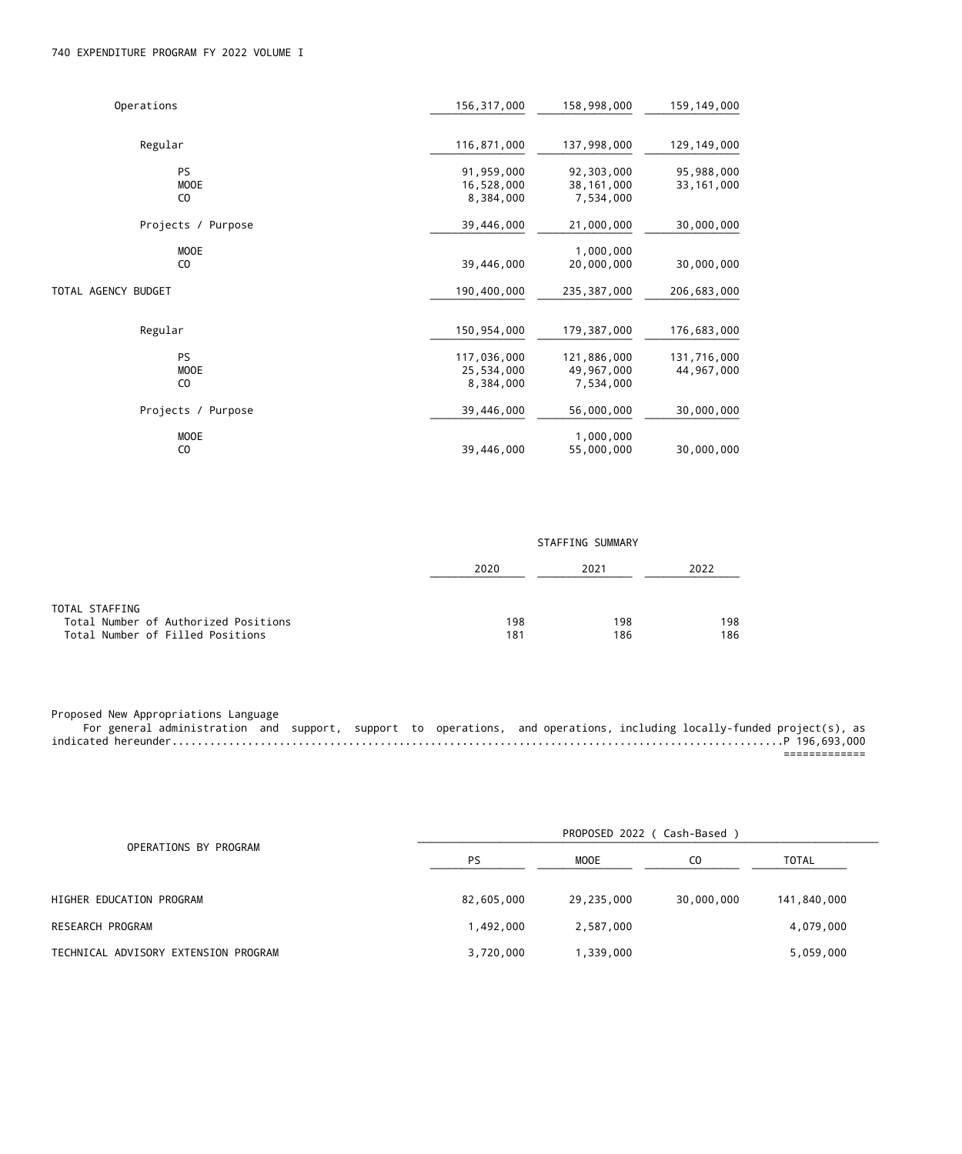# 740 EXPENDITURE PROGRAM FY 2022 VOLUME I

| Operations          | 156, 317, 000 | 158,998,000  | 159,149,000   |
|---------------------|---------------|--------------|---------------|
|                     |               |              |               |
| Regular             | 116,871,000   | 137,998,000  | 129, 149, 000 |
| PS                  | 91,959,000    | 92,303,000   | 95,988,000    |
| <b>MOOE</b>         | 16,528,000    | 38, 161, 000 | 33, 161, 000  |
| C <sub>0</sub>      | 8,384,000     | 7,534,000    |               |
| Projects / Purpose  | 39,446,000    | 21,000,000   | 30,000,000    |
| MOOE                |               | 1,000,000    |               |
| C <sub>0</sub>      | 39,446,000    | 20,000,000   | 30,000,000    |
| TOTAL AGENCY BUDGET | 190,400,000   | 235,387,000  | 206,683,000   |
| Regular             | 150,954,000   | 179,387,000  | 176,683,000   |
| PS                  | 117,036,000   | 121,886,000  | 131,716,000   |
| <b>MOOE</b>         | 25,534,000    | 49,967,000   | 44,967,000    |
| C <sub>0</sub>      | 8,384,000     | 7,534,000    |               |
| Projects / Purpose  | 39,446,000    | 56,000,000   | 30,000,000    |
| MOOE                |               | 1,000,000    |               |
| C <sub>0</sub>      | 39,446,000    | 55,000,000   | 30,000,000    |

|                                                        | STAFFING SUMMARY |      |      |  |
|--------------------------------------------------------|------------------|------|------|--|
|                                                        | 2020             | 2021 | 2022 |  |
| TOTAL STAFFING<br>Total Number of Authorized Positions | 198              | 198  | 198  |  |
| Total Number of Filled Positions                       | 181              | 186  | 186  |  |

Proposed New Appropriations Language

 For general administration and support, support to operations, and operations, including locally-funded project(s), as indicated hereunder.................................................................................................P 196,693,000 =============

| OPERATIONS BY PROGRAM<br>HIGHER EDUCATION PROGRAM<br>RESEARCH PROGRAM<br>TECHNICAL ADVISORY EXTENSION PROGRAM |            | PROPOSED 2022 ( Cash-Based ) |                |              |  |
|---------------------------------------------------------------------------------------------------------------|------------|------------------------------|----------------|--------------|--|
|                                                                                                               | <b>PS</b>  | MOOE                         | C <sub>0</sub> | <b>TOTAL</b> |  |
|                                                                                                               | 82,605,000 | 29,235,000                   | 30,000,000     | 141,840,000  |  |
|                                                                                                               | 1,492,000  | 2,587,000                    |                | 4,079,000    |  |
|                                                                                                               | 3,720,000  | 1,339,000                    |                | 5,059,000    |  |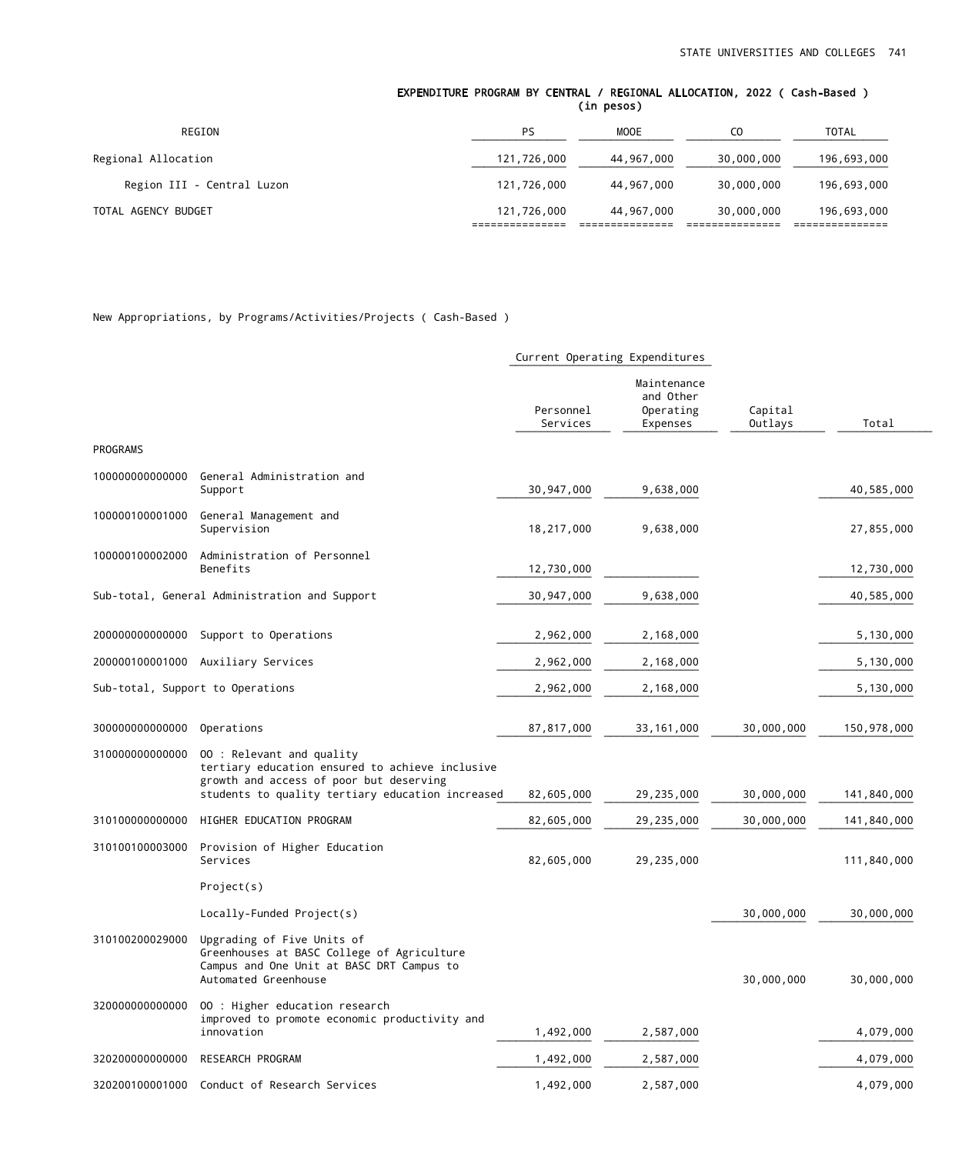#### EXPENDITURE PROGRAM BY CENTRAL / REGIONAL ALLOCATION, 2022 ( Cash-Based ) (in pesos)

| REGION                     | PS          | MOOE       | C <sub>0</sub> | <b>TOTAL</b> |
|----------------------------|-------------|------------|----------------|--------------|
| Regional Allocation        | 121,726,000 | 44,967,000 | 30,000,000     | 196,693,000  |
| Region III - Central Luzon | 121,726,000 | 44,967,000 | 30,000,000     | 196,693,000  |
| TOTAL AGENCY BUDGET        | 121,726,000 | 44,967,000 | 30,000,000     | 196,693,000  |

New Appropriations, by Programs/Activities/Projects ( Cash-Based )

|                 |                                                                                                                                                                             | Current Operating Expenditures |                                                   |                    |             |
|-----------------|-----------------------------------------------------------------------------------------------------------------------------------------------------------------------------|--------------------------------|---------------------------------------------------|--------------------|-------------|
|                 |                                                                                                                                                                             | Personnel<br>Services          | Maintenance<br>and Other<br>Operating<br>Expenses | Capital<br>Outlays | Total       |
| PROGRAMS        |                                                                                                                                                                             |                                |                                                   |                    |             |
| 10000000000000  | General Administration and<br>Support                                                                                                                                       | 30,947,000                     | 9,638,000                                         |                    | 40,585,000  |
| 100000100001000 | General Management and<br>Supervision                                                                                                                                       | 18,217,000                     | 9,638,000                                         |                    | 27,855,000  |
| 100000100002000 | Administration of Personnel<br>Benefits                                                                                                                                     | 12,730,000                     |                                                   |                    | 12,730,000  |
|                 | Sub-total, General Administration and Support                                                                                                                               | 30, 947, 000                   | 9,638,000                                         |                    | 40,585,000  |
| 20000000000000  | Support to Operations                                                                                                                                                       | 2,962,000                      | 2,168,000                                         |                    | 5,130,000   |
|                 | 200000100001000 Auxiliary Services                                                                                                                                          | 2,962,000                      | 2,168,000                                         |                    | 5,130,000   |
|                 | Sub-total, Support to Operations                                                                                                                                            | 2,962,000                      | 2,168,000                                         |                    | 5,130,000   |
| 30000000000000  | Operations                                                                                                                                                                  | 87,817,000                     | 33, 161, 000                                      | 30,000,000         | 150,978,000 |
| 310000000000000 | 00 : Relevant and quality<br>tertiary education ensured to achieve inclusive<br>growth and access of poor but deserving<br>students to quality tertiary education increased | 82,605,000                     | 29,235,000                                        | 30,000,000         | 141,840,000 |
| 310100000000000 | HIGHER EDUCATION PROGRAM                                                                                                                                                    | 82,605,000                     | 29,235,000                                        | 30,000,000         | 141,840,000 |
| 310100100003000 | Provision of Higher Education<br>Services                                                                                                                                   | 82,605,000                     | 29,235,000                                        |                    | 111,840,000 |
|                 | Project(s)                                                                                                                                                                  |                                |                                                   |                    |             |
|                 | Locally-Funded Project(s)                                                                                                                                                   |                                |                                                   | 30,000,000         | 30,000,000  |
| 310100200029000 | Upgrading of Five Units of<br>Greenhouses at BASC College of Agriculture<br>Campus and One Unit at BASC DRT Campus to<br>Automated Greenhouse                               |                                |                                                   | 30,000,000         | 30,000,000  |
| 320000000000000 | 00 : Higher education research<br>improved to promote economic productivity and<br>innovation                                                                               | 1,492,000                      | 2,587,000                                         |                    | 4,079,000   |
| 32020000000000  | RESEARCH PROGRAM                                                                                                                                                            | 1,492,000                      | 2,587,000                                         |                    | 4,079,000   |
| 320200100001000 | Conduct of Research Services                                                                                                                                                | 1,492,000                      | 2,587,000                                         |                    | 4,079,000   |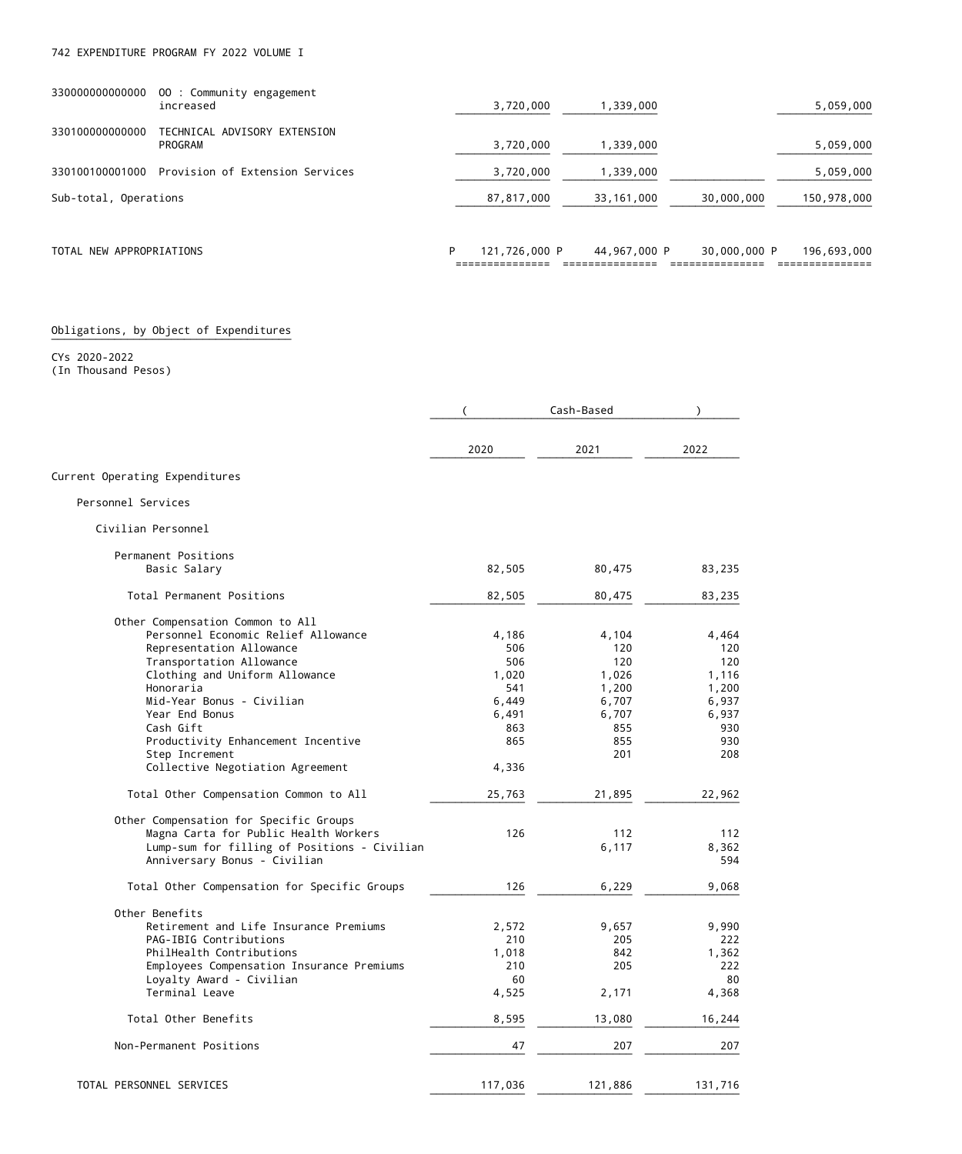| 330000000000000          | 00 : Community engagement<br>increased  |   | 3,720,000     | 1,339,000    |              | 5,059,000   |
|--------------------------|-----------------------------------------|---|---------------|--------------|--------------|-------------|
| 330100000000000          | TECHNICAL ADVISORY EXTENSION<br>PROGRAM |   | 3,720,000     | 000, 339. ا  |              | 5,059,000   |
| 330100100001000          | Provision of Extension Services         |   | 3,720,000     | 1,339,000    |              | 5,059,000   |
| Sub-total, Operations    |                                         |   | 87,817,000    | 33,161,000   | 30,000,000   | 150,978,000 |
| TOTAL NEW APPROPRIATIONS |                                         | P | 121,726,000 P | 44,967,000 P | 30,000,000 P | 196,693,000 |

=============== =============== =============== ===============

### Obligations, by Object of Expenditures

CYs 2020-2022 (In Thousand Pesos)

|                                              |         | Cash-Based | $\lambda$ |
|----------------------------------------------|---------|------------|-----------|
|                                              | 2020    | 2021       | 2022      |
| Current Operating Expenditures               |         |            |           |
| Personnel Services                           |         |            |           |
| Civilian Personnel                           |         |            |           |
| Permanent Positions                          |         |            |           |
| Basic Salary                                 | 82,505  | 80,475     | 83,235    |
| Total Permanent Positions                    | 82,505  | 80,475     | 83,235    |
| Other Compensation Common to All             |         |            |           |
| Personnel Economic Relief Allowance          | 4,186   | 4,104      | 4,464     |
| Representation Allowance                     | 506     | 120        | 120       |
| Transportation Allowance                     | 506     | 120        | 120       |
| Clothing and Uniform Allowance               | 1,020   | 1,026      | 1,116     |
| Honoraria                                    | 541     | 1,200      | 1,200     |
| Mid-Year Bonus - Civilian                    | 6,449   | 6,707      | 6,937     |
| Year End Bonus                               | 6,491   | 6,707      | 6,937     |
| Cash Gift                                    | 863     | 855        | 930       |
| Productivity Enhancement Incentive           | 865     | 855        | 930       |
| Step Increment                               |         | 201        | 208       |
| Collective Negotiation Agreement             | 4,336   |            |           |
| Total Other Compensation Common to All       | 25,763  | 21,895     | 22,962    |
| Other Compensation for Specific Groups       |         |            |           |
| Magna Carta for Public Health Workers        | 126     | 112        | 112       |
| Lump-sum for filling of Positions - Civilian |         | 6,117      | 8,362     |
| Anniversary Bonus - Civilian                 |         |            | 594       |
| Total Other Compensation for Specific Groups | 126     | 6,229      | 9,068     |
| Other Benefits                               |         |            |           |
| Retirement and Life Insurance Premiums       | 2,572   | 9,657      | 9,990     |
| PAG-IBIG Contributions                       | 210     | 205        | 222       |
| PhilHealth Contributions                     | 1,018   | 842        | 1,362     |
| Employees Compensation Insurance Premiums    | 210     | 205        | 222       |
| Loyalty Award - Civilian                     | 60      |            | 80        |
| Termina⊥ Leave                               | 4,525   | 2,171      | 4,368     |
| Total Other Benefits                         | 8,595   | 13,080     | 16,244    |
| Non-Permanent Positions                      | 47      | 207        | 207       |
|                                              |         |            |           |
| TOTAL PERSONNEL SERVICES                     | 117,036 | 121,886    | 131,716   |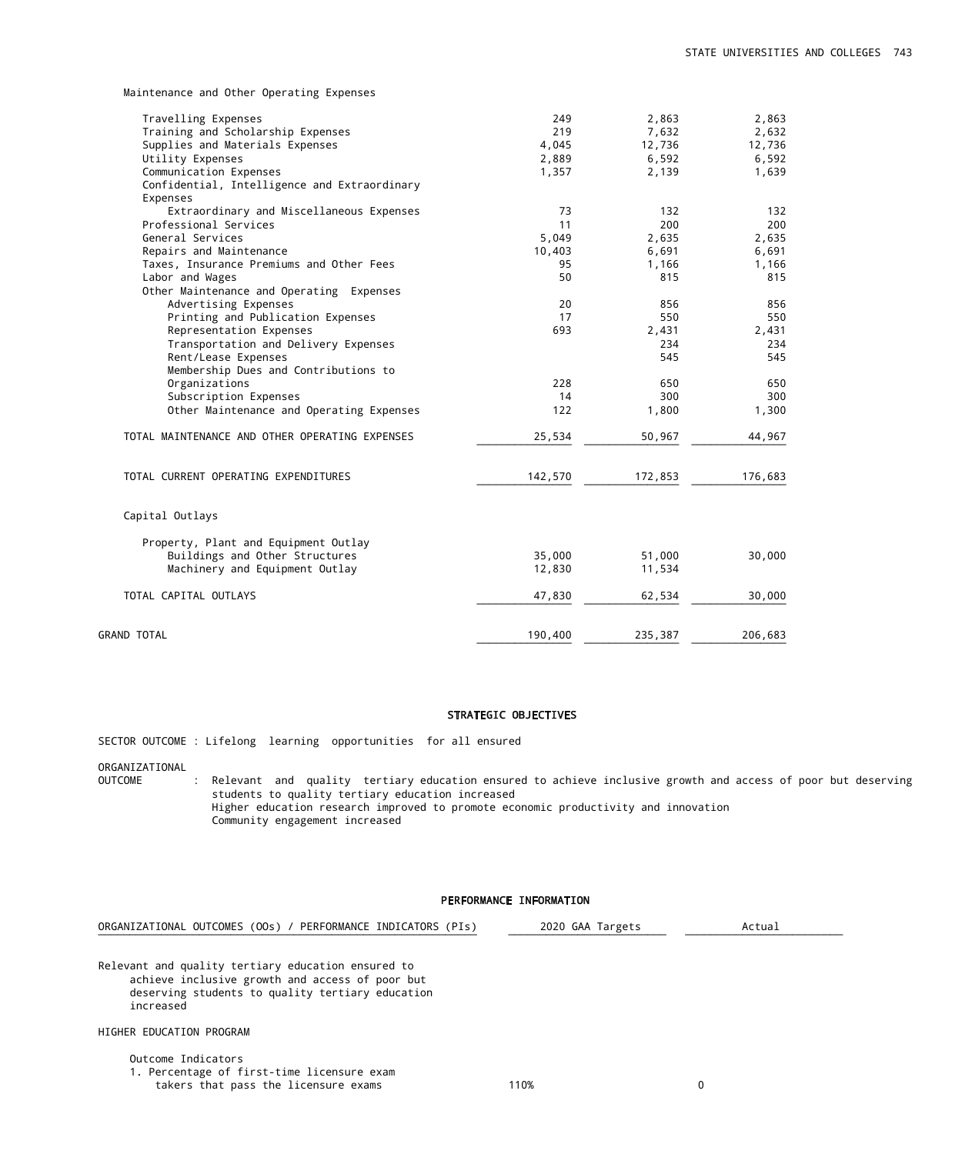Maintenance and Other Operating Expenses

| Travelling Expenses                            | 249     | 2,863   | 2,863   |
|------------------------------------------------|---------|---------|---------|
| Training and Scholarship Expenses              | 219     | 7,632   | 2,632   |
| Supplies and Materials Expenses                | 4,045   | 12,736  | 12,736  |
| Utility Expenses                               | 2,889   | 6,592   | 6,592   |
| Communication Expenses                         | 1,357   | 2,139   | 1,639   |
| Confidential, Intelligence and Extraordinary   |         |         |         |
| Expenses                                       |         |         |         |
| Extraordinary and Miscellaneous Expenses       | 73      | 132     | 132     |
| Professional Services                          | 11      | 200     | 200     |
| General Services                               | 5,049   | 2,635   | 2,635   |
| Repairs and Maintenance                        | 10,403  | 6,691   | 6,691   |
| Taxes, Insurance Premiums and Other Fees       | 95      | 1,166   | 1,166   |
| Labor and Wages                                | 50      | 815     | 815     |
| Other Maintenance and Operating Expenses       |         |         |         |
| Advertising Expenses                           | 20      | 856     | 856     |
| Printing and Publication Expenses              | 17      | 550     | 550     |
| Representation Expenses                        | 693     | 2,431   | 2,431   |
| Transportation and Delivery Expenses           |         | 234     | 234     |
| Rent/Lease Expenses                            |         | 545     | 545     |
| Membership Dues and Contributions to           |         |         |         |
| Organizations                                  | 228     | 650     | 650     |
| Subscription Expenses                          | 14      | 300     | 300     |
| Other Maintenance and Operating Expenses       | 122     | 1,800   | 1,300   |
|                                                |         |         |         |
| TOTAL MAINTENANCE AND OTHER OPERATING EXPENSES | 25,534  | 50,967  | 44,967  |
| TOTAL CURRENT OPERATING EXPENDITURES           | 142,570 | 172,853 | 176,683 |
|                                                |         |         |         |
| Capital Outlays                                |         |         |         |
| Property, Plant and Equipment Outlay           |         |         |         |
| Buildings and Other Structures                 | 35,000  | 51,000  | 30,000  |
| Machinery and Equipment Outlay                 | 12,830  | 11,534  |         |
|                                                |         |         |         |
| TOTAL CAPITAL OUTLAYS                          | 47,830  | 62,534  | 30,000  |
|                                                |         |         |         |
| <b>GRAND TOTAL</b>                             | 190,400 | 235,387 | 206,683 |

#### STRATEGIC OBJECTIVES

SECTOR OUTCOME : Lifelong learning opportunities for all ensured

ORGANIZATIONAL : Relevant and quality tertiary education ensured to achieve inclusive growth and access of poor but deserving students to quality tertiary education increased Higher education research improved to promote economic productivity and innovation Community engagement increased

### PERFORMANCE INFORMATION

¯¯¯¯¯¯¯¯¯¯¯¯¯¯¯¯¯¯¯¯¯¯¯¯¯¯¯¯¯¯¯¯¯¯¯¯¯¯¯¯¯¯¯¯¯¯¯¯¯¯¯¯¯¯¯¯¯¯¯¯ ¯¯¯¯¯¯¯¯¯¯¯¯¯¯¯¯¯¯¯¯¯¯¯¯¯ ¯¯¯¯¯¯¯¯¯¯¯¯¯¯¯¯¯¯¯¯¯¯¯¯¯

ORGANIZATIONAL OUTCOMES (OOs) / PERFORMANCE INDICATORS (PIs) 2020 GAA Targets Actual

Relevant and quality tertiary education ensured to achieve inclusive growth and access of poor but deserving students to quality tertiary education increased

HIGHER EDUCATION PROGRAM

 Outcome Indicators 1. Percentage of first-time licensure exam takers that pass the licensure exams 110% 110% 0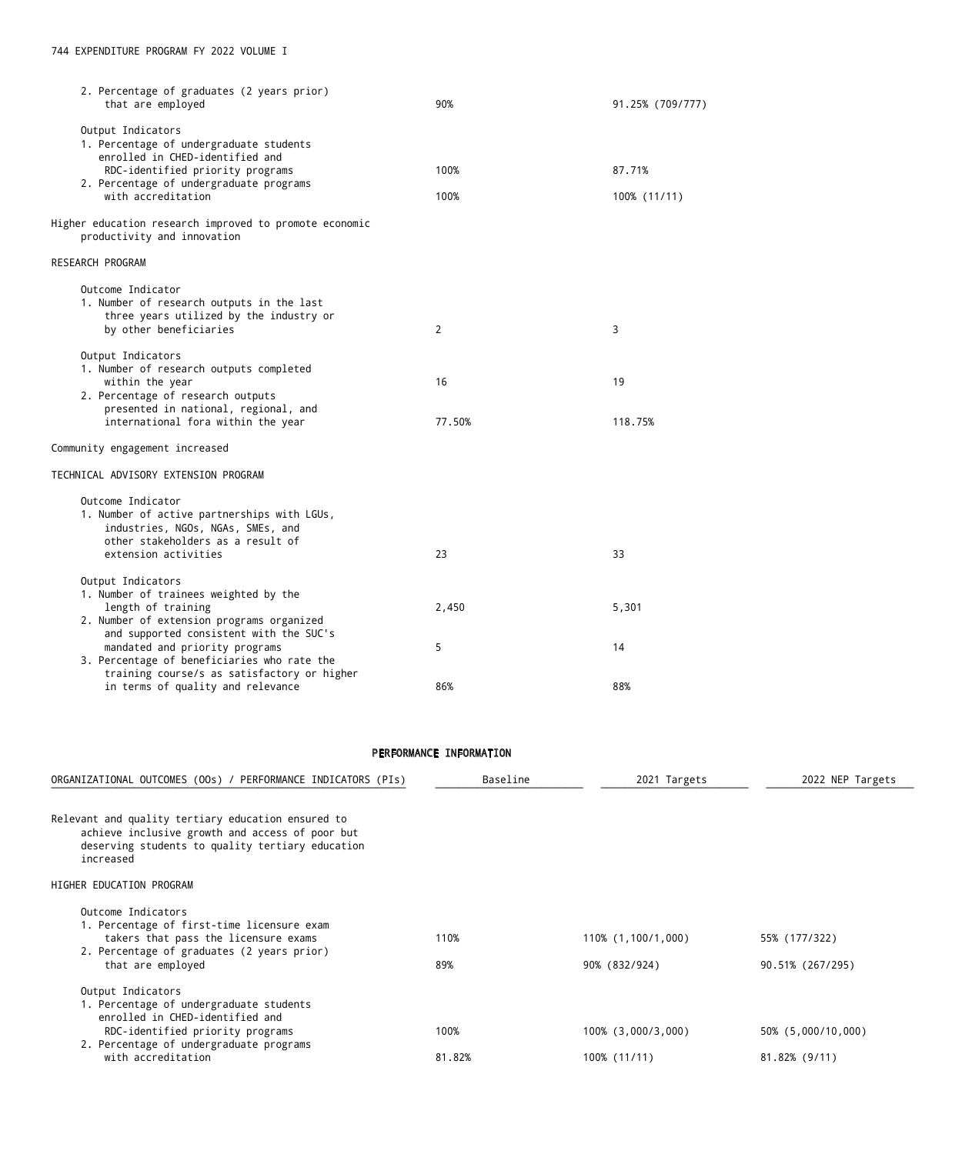| 2. Percentage of graduates (2 years prior)<br>that are employed                       | 90%            | 91.25% (709/777) |
|---------------------------------------------------------------------------------------|----------------|------------------|
| Output Indicators                                                                     |                |                  |
| 1. Percentage of undergraduate students                                               |                |                  |
| enrolled in CHED-identified and                                                       |                |                  |
| RDC-identified priority programs<br>2. Percentage of undergraduate programs           | 100%           | 87.71%           |
| with accreditation                                                                    | 100%           | 100% (11/11)     |
| Higher education research improved to promote economic<br>productivity and innovation |                |                  |
| <b>RESEARCH PROGRAM</b>                                                               |                |                  |
| Outcome Indicator                                                                     |                |                  |
| 1. Number of research outputs in the last                                             |                |                  |
| three years utilized by the industry or                                               |                |                  |
| by other beneficiaries                                                                | $\overline{2}$ | 3                |
| Output Indicators                                                                     |                |                  |
| 1. Number of research outputs completed                                               |                |                  |
| within the year<br>2. Percentage of research outputs                                  | 16             | 19               |
| presented in national, regional, and                                                  |                |                  |
| international fora within the year                                                    | 77.50%         | 118.75%          |
| Community engagement increased                                                        |                |                  |
| TECHNICAL ADVISORY EXTENSION PROGRAM                                                  |                |                  |
| Outcome Indicator                                                                     |                |                  |
| 1. Number of active partnerships with LGUs,                                           |                |                  |
| industries, NGOs, NGAs, SMEs, and                                                     |                |                  |
| other stakeholders as a result of                                                     |                |                  |
| extension activities                                                                  | 23             | 33               |
| Output Indicators                                                                     |                |                  |
| 1. Number of trainees weighted by the                                                 |                |                  |
| length of training<br>2. Number of extension programs organized                       | 2,450          | 5,301            |
| and supported consistent with the SUC's                                               |                |                  |
| mandated and priority programs                                                        | 5              | 14               |
| 3. Percentage of beneficiaries who rate the                                           |                |                  |
| training course/s as satisfactory or higher                                           |                |                  |
| in terms of quality and relevance                                                     | 86%            | 88%              |
|                                                                                       |                |                  |
|                                                                                       |                |                  |
|                                                                                       |                |                  |

## PERFORMANCE INFORMATION

| ORGANIZATIONAL OUTCOMES (OOs) / PERFORMANCE INDICATORS (PIs)                                                                                                                                         | Baseline       | 2021 Targets                        | 2022 NEP Targets                    |
|------------------------------------------------------------------------------------------------------------------------------------------------------------------------------------------------------|----------------|-------------------------------------|-------------------------------------|
| Relevant and quality tertiary education ensured to<br>achieve inclusive growth and access of poor but<br>deserving students to quality tertiary education<br>increased                               |                |                                     |                                     |
| HIGHER EDUCATION PROGRAM                                                                                                                                                                             |                |                                     |                                     |
| Outcome Indicators<br>1. Percentage of first-time licensure exam<br>takers that pass the licensure exams<br>2. Percentage of graduates (2 years prior)<br>that are employed                          | 110%<br>89%    | 110% (1,100/1,000)<br>90% (832/924) | 55% (177/322)<br>90.51% (267/295)   |
| Output Indicators<br>1. Percentage of undergraduate students<br>enrolled in CHED-identified and<br>RDC-identified priority programs<br>2. Percentage of undergraduate programs<br>with accreditation | 100%<br>81.82% | 100% (3,000/3,000)<br>100% (11/11)  | 50% (5,000/10,000)<br>81.82% (9/11) |